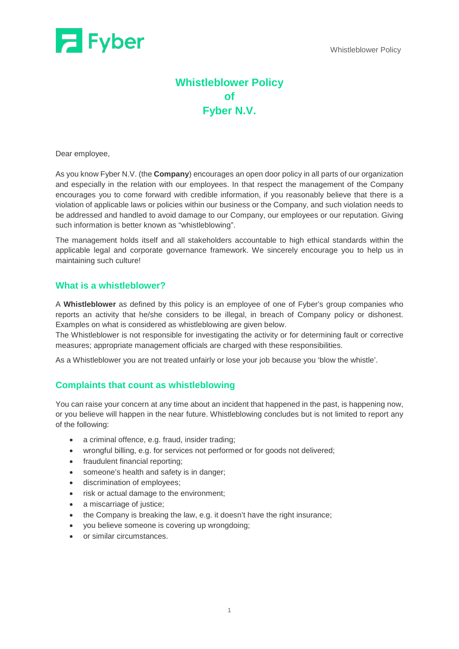

# **Whistleblower Policy of Fyber N.V.**

Dear employee,

As you know Fyber N.V. (the **Company**) encourages an open door policy in all parts of our organization and especially in the relation with our employees. In that respect the management of the Company encourages you to come forward with credible information, if you reasonably believe that there is a violation of applicable laws or policies within our business or the Company, and such violation needs to be addressed and handled to avoid damage to our Company, our employees or our reputation. Giving such information is better known as "whistleblowing".

The management holds itself and all stakeholders accountable to high ethical standards within the applicable legal and corporate governance framework. We sincerely encourage you to help us in maintaining such culture!

## **What is a whistleblower?**

A **Whistleblower** as defined by this policy is an employee of one of Fyber's group companies who reports an activity that he/she considers to be illegal, in breach of Company policy or dishonest. Examples on what is considered as whistleblowing are given below.

The Whistleblower is not responsible for investigating the activity or for determining fault or corrective measures; appropriate management officials are charged with these responsibilities.

As a Whistleblower you are not [treated unfairly or lose your job](https://www.gov.uk/whistleblowing/treated-unfairly-after-whistleblowing) because you 'blow the whistle'.

## **Complaints that count as whistleblowing**

You can raise your concern at any time about an incident that happened in the past, is happening now, or you believe will happen in the near future. Whistleblowing concludes but is not limited to report any of the following:

- a criminal offence, e.g. fraud, insider trading;
- wrongful billing, e.g. for services not performed or for goods not delivered;
- fraudulent financial reporting;
- someone's health and safety is in danger;
- discrimination of employees;
- risk or actual damage to the environment;
- a miscarriage of justice;
- the Company is breaking the law, e.g. it doesn't have the right insurance;
- you believe someone is covering up wrongdoing;
- or similar circumstances.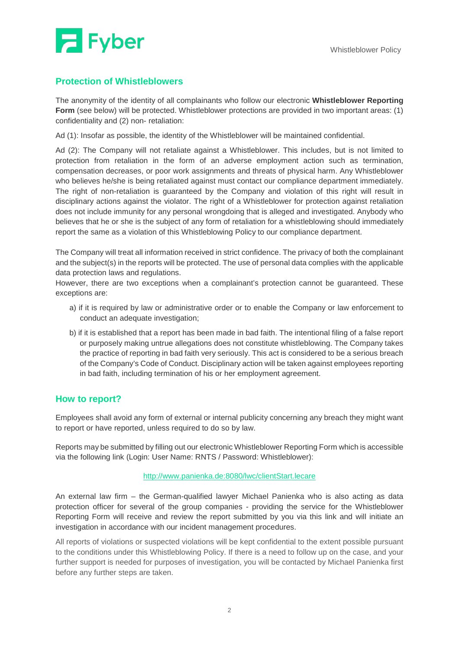

# **Protection of Whistleblowers**

The anonymity of the identity of all complainants who follow our electronic **Whistleblower Reporting Form** (see below) will be protected. Whistleblower protections are provided in two important areas: (1) confidentiality and (2) non- retaliation:

Ad (1): Insofar as possible, the identity of the Whistleblower will be maintained confidential.

Ad (2): The Company will not retaliate against a Whistleblower. This includes, but is not limited to protection from retaliation in the form of an adverse employment action such as termination, compensation decreases, or poor work assignments and threats of physical harm. Any Whistleblower who believes he/she is being retaliated against must contact our compliance department immediately. The right of non-retaliation is guaranteed by the Company and violation of this right will result in disciplinary actions against the violator. The right of a Whistleblower for protection against retaliation does not include immunity for any personal wrongdoing that is alleged and investigated. Anybody who believes that he or she is the subject of any form of retaliation for a whistleblowing should immediately report the same as a violation of this Whistleblowing Policy to our compliance department.

The Company will treat all information received in strict confidence. The privacy of both the complainant and the subject(s) in the reports will be protected. The use of personal data complies with the applicable data protection laws and regulations.

However, there are two exceptions when a complainant's protection cannot be guaranteed. These exceptions are:

- a) if it is required by law or administrative order or to enable the Company or law enforcement to conduct an adequate investigation;
- b) if it is established that a report has been made in bad faith. The intentional filing of a false report or purposely making untrue allegations does not constitute whistleblowing. The Company takes the practice of reporting in bad faith very seriously. This act is considered to be a serious breach of the Company's Code of Conduct. Disciplinary action will be taken against employees reporting in bad faith, including termination of his or her employment agreement.

## **How to report?**

Employees shall avoid any form of external or internal publicity concerning any breach they might want to report or have reported, unless required to do so by law.

Reports may be submitted by filling out our electronic Whistleblower Reporting Form which is accessible via the following link (Login: User Name: RNTS / Password: Whistleblower):

#### <http://www.panienka.de:8080/lwc/clientStart.lecare>

An external law firm – the German-qualified lawyer Michael Panienka who is also acting as data protection officer for several of the group companies - providing the service for the Whistleblower Reporting Form will receive and review the report submitted by you via this link and will initiate an investigation in accordance with our incident management procedures.

All reports of violations or suspected violations will be kept confidential to the extent possible pursuant to the conditions under this Whistleblowing Policy. If there is a need to follow up on the case, and your further support is needed for purposes of investigation, you will be contacted by Michael Panienka first before any further steps are taken.